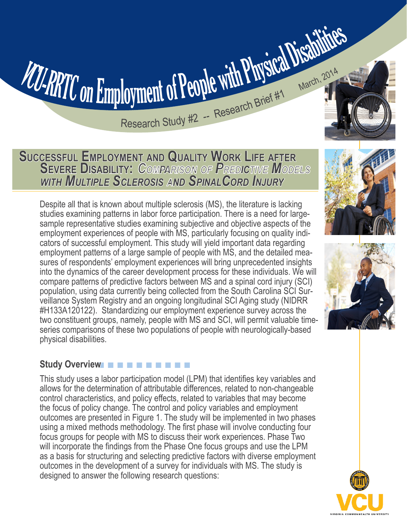# Research Study #2 -- Research Brief #1 March, 2014

**SUCCESSFUL EMPLOYMENT AND QUALITY WORK LIFE AFTER SEVERE DISABILITY:** *COMPARISON OF PREDICTIVE MODELS WITH MULTIPLE SCLEROSIS AND SPINALCORD INJURY* 

VCU-RRTC on Employment of People with Physical Disabilities

Despite all that is known about multiple sclerosis (MS), the literature is lacking studies examining patterns in labor force participation. There is a need for largesample representative studies examining subjective and objective aspects of the employment experiences of people with MS, particularly focusing on quality indicators of successful employment. This study will yield important data regarding employment patterns of a large sample of people with MS, and the detailed measures of respondents' employment experiences will bring unprecedented insights into the dynamics of the career development process for these individuals. We will compare patterns of predictive factors between MS and a spinal cord injury (SCI) population, using data currently being collected from the South Carolina SCI Surveillance System Registry and an ongoing longitudinal SCI Aging study (NIDRR #H133A120122). Standardizing our employment experience survey across the two constituent groups, namely, people with MS and SCI, will permit valuable timeseries comparisons of these two populations of people with neurologically-based physical disabilities.

# Study Overview **DE N N N N N N N N N N N N N N N N N N**

This study uses a labor participation model (LPM) that identifies key variables and allows for the determination of attributable differences, related to non-changeable control characteristics, and policy effects, related to variables that may become the focus of policy change. The control and policy variables and employment outcomes are presented in Figure 1. The study will be implemented in two phases using a mixed methods methodology. The first phase will involve conducting four focus groups for people with MS to discuss their work experiences. Phase Two will incorporate the findings from the Phase One focus groups and use the LPM as a basis for structuring and selecting predictive factors with diverse employment outcomes in the development of a survey for individuals with MS. The study is designed to answer the following research questions:





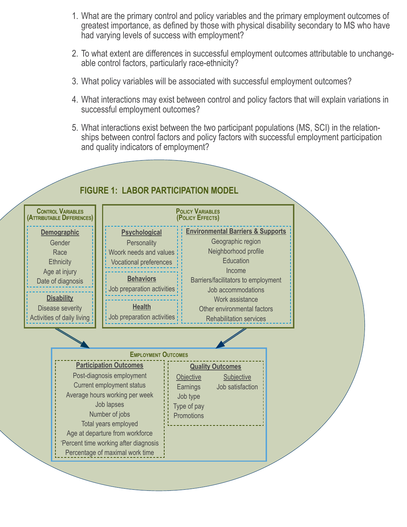- 1. What are the primary control and policy variables and the primary employment outcomes of greatest importance, as defined by those with physical disability secondary to MS who have had varying levels of success with employment?
- 2. To what extent are differences in successful employment outcomes attributable to unchangeable control factors, particularly race-ethnicity?
- 3. What policy variables will be associated with successful employment outcomes?
- 4. What interactions may exist between control and policy factors that will explain variations in successful employment outcomes?
- 5. What interactions exist between the two participant populations (MS, SCI) in the relationships between control factors and policy factors with successful employment participation and quality indicators of employment?

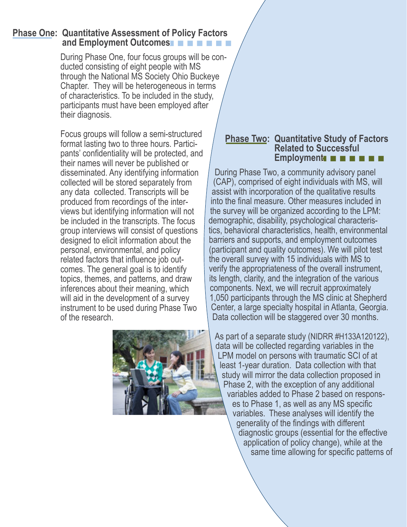## and Employment Outcomes **Phase One: Quantitative Assessment of Policy Factors**

During Phase One, four focus groups will be conducted consisting of eight people with MS through the National MS Society Ohio Buckeye Chapter. They will be heterogeneous in terms of characteristics. To be included in the study, participants must have been employed after their diagnosis.

 $\overline{\mathcal{L}}$ 

I

 $\mid$ 

Focus groups will follow a semi-structured format lasting two to three hours. Participants' confidentiality will be protected, and their names will never be published or disseminated. Any identifying information collected will be stored separately from any data collected. Transcripts will be produced from recordings of the interviews but identifying information will not be included in the transcripts. The focus group interviews will consist of questions designed to elicit information about the personal, environmental, and policy related factors that influence job outcomes. The general goal is to identify topics, themes, and patterns, and draw inferences about their meaning, which will aid in the development of a survey instrument to be used during Phase Two of the research.



# **Employment <b>E E E E E E Phase Two: Quantitative Study of Factors Related to Successful**

 tics, behavioral characteristics, health, environmental its length, clarity, and the integration of the various During Phase Two, a community advisory panel (CAP), comprised of eight individuals with MS, will assist with incorporation of the qualitative results into the final measure. Other measures included in the survey will be organized according to the LPM: demographic, disability, psychological characterisbarriers and supports, and employment outcomes (participant and quality outcomes). We will pilot test the overall survey with 15 individuals with MS to verify the appropriateness of the overall instrument, components. Next, we will recruit approximately 1,050 participants through the MS clinic at Shepherd Center, a large specialty hospital in Atlanta, Georgia. Data collection will be staggered over 30 months.

As part of a separate study (NIDRR #H133A120122), data will be collected regarding variables in the LPM model on persons with traumatic SCI of at least 1-year duration. Data collection with that study will mirror the data collection proposed in Phase 2, with the exception of any additional variables added to Phase 2 based on responses to Phase 1, as well as any MS specific variables. These analyses will identify the generality of the findings with different diagnostic groups (essential for the effective application of policy change), while at the same time allowing for specific patterns of